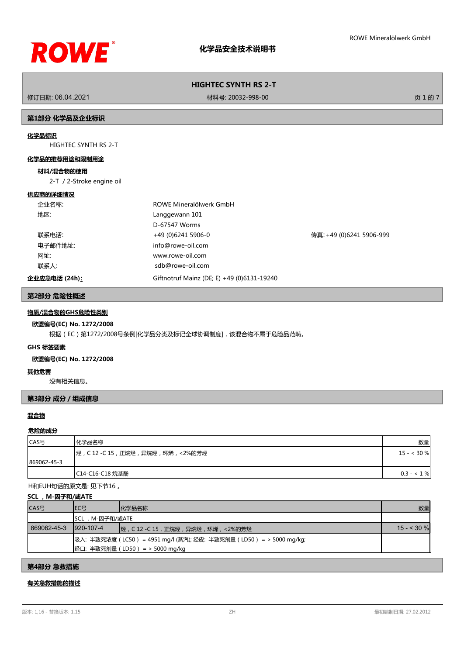

修订日期: 06.04.2021 材料号: 20032-998-00 页 1 的 7

### **第1部分 化学品及企业标识**

## **化学品标识**

HIGHTEC SYNTH RS 2-T

### **化学品的推荐用途和限制用途**

#### **材料/混合物的使用**

2-T / 2-Stroke engine oil

#### **供应商的详细情况**

| 企业名称:         | ROWE Mineralölwerk GmbH                    |                          |
|---------------|--------------------------------------------|--------------------------|
| 地区:           | Langgewann 101                             |                          |
|               | D-67547 Worms                              |                          |
| 联系电话:         | +49 (0)6241 5906-0                         | 传真: +49 (0)6241 5906-999 |
| 电子邮件地址:       | info@rowe-oil.com                          |                          |
| 网址:           | www.rowe-oil.com                           |                          |
| 联系人:          | sdb@rowe-oil.com                           |                          |
| 企业应急电话 (24h): | Giftnotruf Mainz (DE; E) +49 (0)6131-19240 |                          |

#### **第2部分 危险性概述**

# **物质/混合物的GHS危险性类别**

#### **欧盟编号(EC) No. 1272/2008**

根据(EC)第1272/2008号条例[化学品分类及标记全球协调制度],该混合物不属于危险品范畴。

#### **GHS 标签要素**

## **欧盟编号(EC) No. 1272/2008**

#### **其他危害**

没有相关信息。

### **第3部分 成分/组成信息**

# **混合物**

#### **危险的成分**

| CAS号        | 化学品名称                                     | 数量          |
|-------------|-------------------------------------------|-------------|
|             | ┃烃 , C 12 -C 15 , 正烷烃 , 异烷烃 , 环烯 , <2%的芳烃 | $15 - 30%$  |
| 869062-45-3 |                                           |             |
|             | C14-C16-C18 烷基酚                           | $0.3 - 1\%$ |

H和EUH句话的原文是: 见下节16 。

#### **SCL ,M-因子和/或ATE**

| CAS号        | IEC목                                                                  | 化学品名称                            | 数量          |
|-------------|-----------------------------------------------------------------------|----------------------------------|-------------|
|             | SCL,M-因子和/或ATE                                                        |                                  |             |
| 869062-45-3 | 1920-107-4                                                            | ┃烃, C 12 -C 15,正烷烃,异烷烃,环烯,<2%的芳烃 | $15 - 30$ % |
|             | 吸入: 半致死浓度 (LC50 ) = 4951 mg/l (蒸汽); 经皮: 半致死剂量 (LD50 ) = > 5000 mg/kg; |                                  |             |
|             |                                                                       | 经口: 半致死剂量 (LD50) = > 5000 mg/kg  |             |

## **第4部分 急救措施**

## **有关急救措施的描述**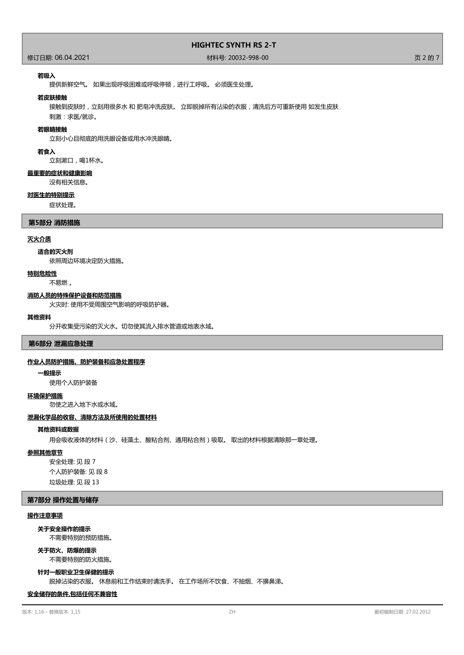## 修订日期: 06.04.2021 材料号: 20032-998-00 页 2 的 7

#### **若吸入**

提供新鲜空气。 如果出现呼吸困难或呼吸停顿,进行工呼吸。 必须医生处理。

#### **若皮肤接触**

接触到皮肤时,立刻用很多水 和 肥皂冲洗皮肤。 立即脱掉所有沾染的衣服,清洗后方可重新使用 如发生皮肤

刺激:求医/就诊。

# **若眼睛接触**

立刻小心且彻底的用洗眼设备或用水冲洗眼睛。

#### **若食入**

立刻漱口,喝1杯水。

## **最重要的症状和健康影响**

没有相关信息。

#### **对医生的特别提示**

症状处理。

#### **第5部分 消防措施**

#### **灭火介质**

#### **适合的灭火剂**

依照周边环境决定防火措施。

#### **特别危险性**

不易燃 。

#### **消防人员的特殊保护设备和防范措施**

火灾时: 使用不受周围空气影响的呼吸防护器。

#### **其他资料**

分开收集受污染的灭火水。切勿使其流入排水管道或地表水域。

#### **第6部分 泄漏应急处理**

#### **作业人员防护措施、防护装备和应急处置程序**

#### **一般提示**

使用个人防护装备

#### **环境保护措施**

勿使之进入地下水或水域。

#### **泄漏化学品的收容、清除方法及所使用的处置材料**

#### **其他资料或数据**

用会吸收液体的材料(沙、硅藻土、酸粘合剂、通用粘合剂)吸取。 取出的材料根据清除那一章处理。

#### **参照其他章节**

安全处理: 见 段 7 个人防护装备: 见 段 8 垃圾处理: 见 段 13

### **第7部分 操作处置与储存**

#### **操作注意事项**

### **关于安全操作的提示**

不需要特别的预防措施。

#### 不需要特别的防火措施。 **关于防火、防爆的提示**

**针对一般职业卫生保健的提示**

脱掉沾染的衣服。 休息前和工作结束时请洗手。 在工作场所不饮食、不抽烟、不擤鼻涕。

#### **安全储存的条件,包括任何不兼容性**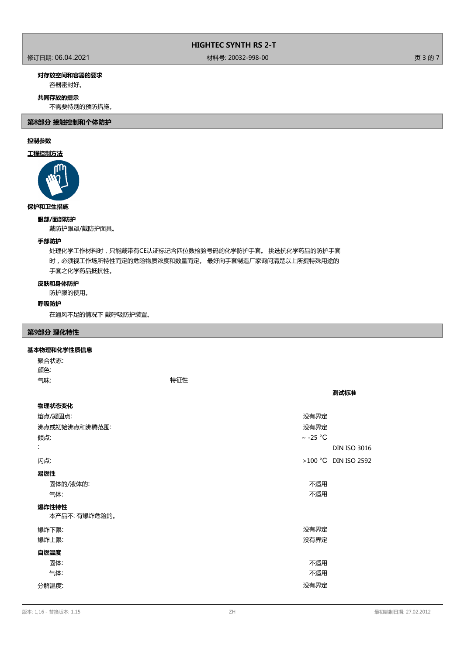# 修订日期: 06.04.2021 材料号: 20032-998-00 页 3 的 7

## **对存放空间和容器的要求**

容器密封好。

### **共同存放的提示**

不需要特别的预防措施。

**第8部分 接触控制和个体防护**

# **控制参数**

# **工程控制方法**



# **保护和卫生措施**

**眼部/面部防护**

戴防护眼罩/戴防护面具。

# **手部防护**

处理化学工作材料时,只能戴带有CE认证标记含四位数检验号码的化学防护手套。 挑选抗化学药品的防护手套 时,必须视工作场所特性而定的危险物质浓度和数量而定。 最好向手套制造厂家询问清楚以上所提特殊用途的 手套之化学药品抵抗性。

## **皮肤和身体防护**

防护服的使用。

#### **呼吸防护**

在通风不足的情况下 戴呼吸防护装置。

## **第9部分 理化特性**

### **基本物理和化学性质信息**

聚合状态: 颜色: 气味: 特征性

| 物理状态变化        |               |                        |
|---------------|---------------|------------------------|
| 熔点/凝固点:       | 没有界定          |                        |
| 沸点或初始沸点和沸腾范围: | 没有界定          |                        |
| 倾点:           | $\sim$ -25 °C |                        |
| ÷             |               | <b>DIN ISO 3016</b>    |
| 闪点:           |               | $>100$ °C DIN ISO 2592 |
| 易燃性           |               |                        |
| 固体的/液体的:      | 不适用           |                        |
| 气体:           | 不适用           |                        |
| 爆炸性特性         |               |                        |
| 本产品不:有爆炸危险的。  |               |                        |
| 爆炸下限:         | 没有界定          |                        |
| 爆炸上限:         | 没有界定          |                        |
| 自燃温度          |               |                        |
| 固体:           | 不适用           |                        |
| 气体:           | 不适用           |                        |
| 分解温度:         | 没有界定          |                        |

**测试标准**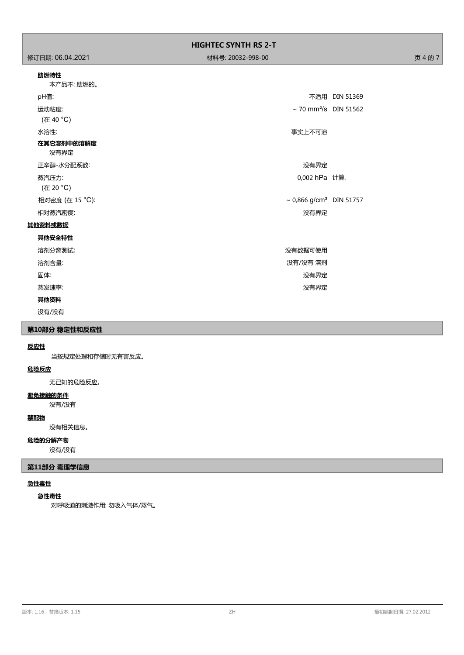# **助燃特性**

| 本产品不:助燃的。          |                                        |               |
|--------------------|----------------------------------------|---------------|
| pH值:               |                                        | 不适用 DIN 51369 |
| 运动粘度:<br>(在 40 °C) | $\sim$ 70 mm <sup>2</sup> /s DIN 51562 |               |
| 水溶性:               | 事实上不可溶                                 |               |
| 在其它溶剂中的溶解度<br>没有界定 |                                        |               |
| 正辛醇-水分配系数:         | 没有界定                                   |               |
| 蒸汽压力:<br>(在 20 °C) | 0,002 hPa 计算.                          |               |
| 相对密度 (在 15 °C):    | ~ 0,866 g/cm <sup>3</sup> DIN 51757    |               |
| 相对蒸汽密度:            | 没有界定                                   |               |
| 其他资料或数据            |                                        |               |
| 其他安全特性             |                                        |               |
| 溶剂分离测试:            | 没有数据可使用                                |               |
| 溶剂含量:              | 没有/没有 溶剂                               |               |
| 固体:                | 没有界定                                   |               |
| 蒸发速率:              | 没有界定                                   |               |
| 其他资料               |                                        |               |

没有/没有

# **第10部分 稳定性和反应性**

## **反应性**

当按规定处理和存储时无有害反应。

### **危险反应**

无已知的危险反应。

#### **避免接触的条件**

没有/没有

## **禁配物**

没有相关信息。

# **危险的分解产物**

没有/没有

## **第11部分 毒理学信息**

# **急性毒性**

## **急性毒性**

对呼吸道的刺激作用: 勿吸入气体/蒸气。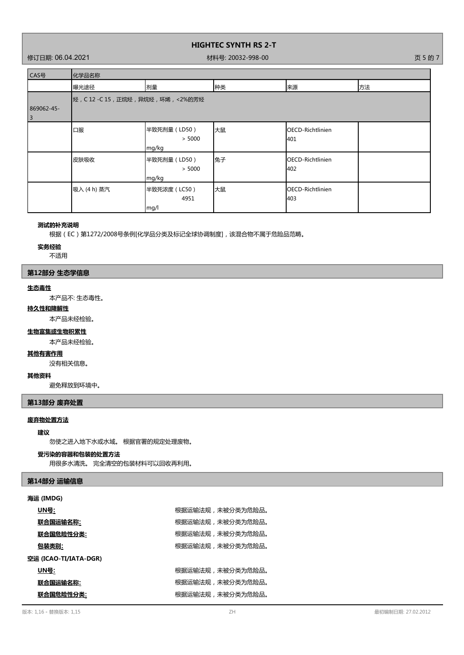# 修订日期: 06.04.2021 材料号: 20032-998-00 页 5 的 7

г

٦

| CAS号                                  | 化学品名称                                    |                                 |    |                                |    |
|---------------------------------------|------------------------------------------|---------------------------------|----|--------------------------------|----|
|                                       | 曝光途径                                     | 剂量                              | 种类 | 来源                             | 方法 |
| 869062-45-<br>$\overline{\mathbf{3}}$ | 烃 , C 12 -C 15 , 正烷烃 , 异烷烃 , 环烯 , <2%的芳烃 |                                 |    |                                |    |
|                                       | 口服                                       | 半致死剂量 (LD50)<br>> 5000<br>mg/kg | 大鼠 | OECD-Richtlinien<br>401        |    |
|                                       | 皮肤吸收                                     | 半致死剂量 (LD50)<br>> 5000<br>mg/kg | 兔子 | OECD-Richtlinien<br>402        |    |
|                                       | 吸入 (4 h) 蒸汽                              | 半致死浓度 (LC50)<br>4951<br>mg/l    | 大鼠 | <b>OECD-Richtlinien</b><br>403 |    |

#### **测试的补充说明**

根据(EC)第1272/2008号条例[化学品分类及标记全球协调制度],该混合物不属于危险品范畴。

**实务经验**

# 不适用

## **第12部分 生态学信息**

#### **生态毒性**

本产品不: 生态毒性。

# **持久性和降解性**

本产品未经检验。

# **生物富集或生物积累性**

本产品未经检验。

#### **其他有害作用**

没有相关信息。

## **其他资料**

避免释放到环境中。

# **第13部分 废弃处置**

# **废弃物处置方法**

## **建议**

勿使之进入地下水或水域。 根据官署的规定处理废物。

## **受污染的容器和包装的处置方法**

用很多水清洗。 完全清空的包装材料可以回收再利用。

# **第14部分 运输信息**

#### **海运 (IMDG)**

| <u> UN号:</u>          | 根据运输法规,未被分类为危险品。 |
|-----------------------|------------------|
| <u>联合国运输名称:</u>       | 根据运输法规,未被分类为危险品。 |
| 联合国危险性分类:             | 根据运输法规,未被分类为危险品。 |
| 包装类别:                 | 根据运输法规,未被分类为危险品。 |
| 空运 (ICAO-TI/IATA-DGR) |                  |
|                       |                  |
| UN号:                  | 根据运输法规,未被分类为危险品。 |
| 联合国运输名称:              | 根据运输法规,未被分类为危险品。 |
| 联合国危险性分类:             | 根据运输法规,未被分类为危险品。 |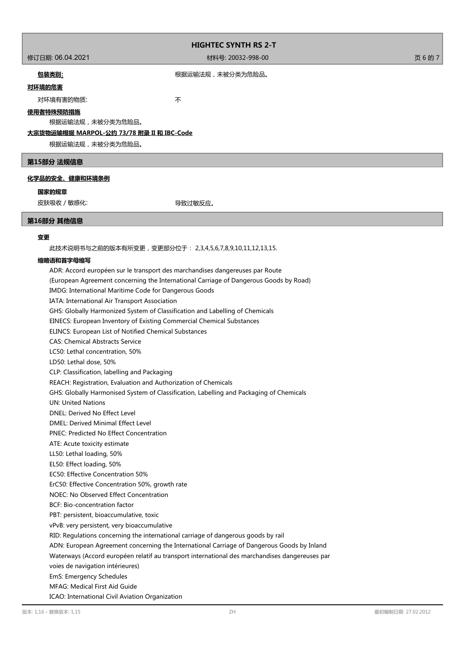修订日期: 06.04.2021 材料号: 20032-998-00 页 6 的 7

# 包装类别; 网络卡尔卡尔卡尔卡尔卡尔卡尔卡尔卡尔特尔·卡尔特尔·卡尔特尔·卡尔特尔·卡尔特

# **对环境的危害**

对环境有害的物质: 不

## **使用者特殊预防措施**

根据运输法规,未被分类为危险品。

# **大宗货物运输根据 MARPOL-公约 73/78 附录 II 和 IBC-Code**

根据运输法规,未被分类为危险品。

#### **第15部分 法规信息**

#### **化学品的安全、健康和环境条例**

**国家的规章**

皮肤吸收 / 敏感化: with the second of the second of the second second second second second second second second second second second second second second second second second second second second second second second second secon

#### **第16部分 其他信息**

#### **变更**

此技术说明书与之前的版本有所变更,变更部分位于: 2,3,4,5,6,7,8,9,10,11,12,13,15.

## **缩略语和首字母缩写**

ADR: Accord européen sur le transport des marchandises dangereuses par Route (European Agreement concerning the International Carriage of Dangerous Goods by Road) IMDG: International Maritime Code for Dangerous Goods IATA: International Air Transport Association GHS: Globally Harmonized System of Classification and Labelling of Chemicals EINECS: European Inventory of Existing Commercial Chemical Substances ELINCS: European List of Notified Chemical Substances CAS: Chemical Abstracts Service LC50: Lethal concentration, 50% LD50: Lethal dose, 50% CLP: Classification, labelling and Packaging REACH: Registration, Evaluation and Authorization of Chemicals GHS: Globally Harmonised System of Classification, Labelling and Packaging of Chemicals UN: United Nations DNEL: Derived No Effect Level DMEL: Derived Minimal Effect Level PNEC: Predicted No Effect Concentration ATE: Acute toxicity estimate LL50: Lethal loading, 50% EL50: Effect loading, 50% EC50: Effective Concentration 50% ErC50: Effective Concentration 50%, growth rate NOEC: No Observed Effect Concentration BCF: Bio-concentration factor PBT: persistent, bioaccumulative, toxic vPvB: very persistent, very bioaccumulative RID: Regulations concerning the international carriage of dangerous goods by rail ADN: European Agreement concerning the International Carriage of Dangerous Goods by Inland Waterways (Accord européen relatif au transport international des marchandises dangereuses par voies de navigation intérieures) EmS: Emergency Schedules MFAG: Medical First Aid Guide ICAO: International Civil Aviation Organization